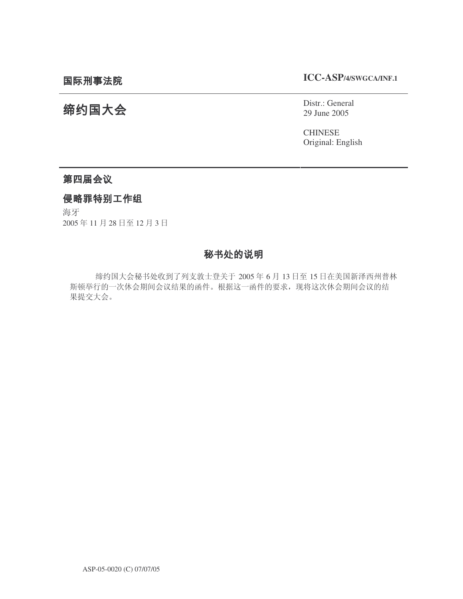**ICC-ASP/4/SWGCA/INF.1**

# 缔约国大会

Distr.: General 29 June 2005

CHINESE Original: English

# 第四届会议

### 侵略罪特别工作组

海牙 2005年11月28日至12月3日

# 秘书处的说明

缔约国大会秘书处收到了列支敦士登关于 2005年6月 13日至 15日在美国新泽西州普林 斯顿举行的一次休会期间会议结果的函件。根据这一函件的要求, 现将这次休会期间会议的结 果提交大会。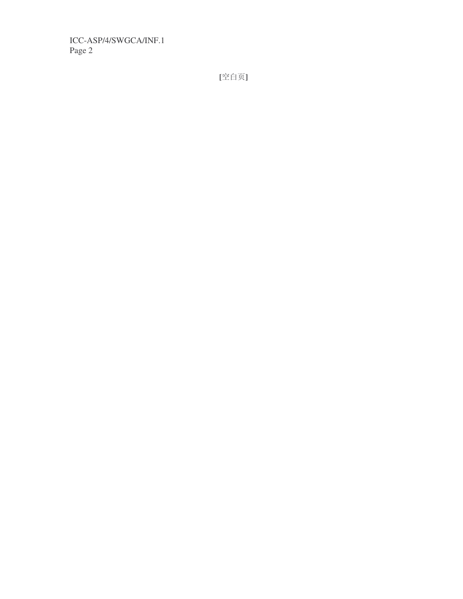**[**ぎⱑ义**]**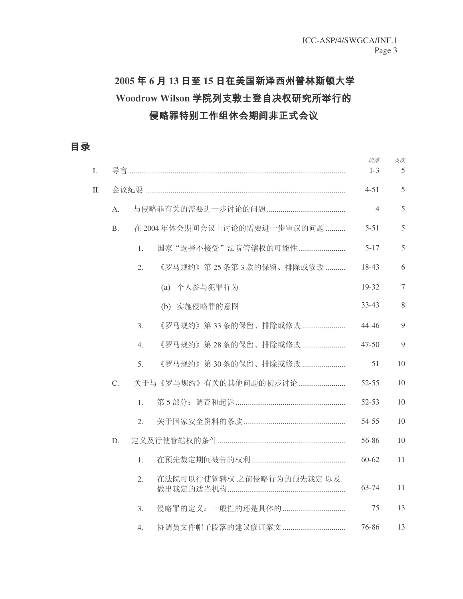# 2005年6月13日至15日在美国新泽西州普林斯顿大学 Woodrow Wilson 学院列支敦士登自决权研究所举行的 侵略罪特别工作组休会期间非正式会议

目录

| I. |                |                             |              |                           |  |  | 段落<br>$1 - 3$  | 页次<br>5        |
|----|----------------|-----------------------------|--------------|---------------------------|--|--|----------------|----------------|
| Π. |                |                             |              |                           |  |  | $4 - 51$       | 5              |
|    | A.             |                             |              |                           |  |  | $\overline{4}$ | 5              |
|    | B <sub>1</sub> | 在 2004年休会期间会议上讨论的需要进一步审议的问题 |              |                           |  |  | $5 - 51$       | 5              |
|    |                | 1.                          |              | 国家"选择不接受"法院管辖权的可能性        |  |  | $5 - 17$       | 5              |
|    |                | 2.                          |              | 《罗马规约》第25条第3款的保留、排除或修改    |  |  | 18-43          | 6              |
|    |                |                             | (a) 个人参与犯罪行为 |                           |  |  | $19 - 32$      | $\overline{7}$ |
|    |                |                             | (b)          | 实施侵略罪的意图                  |  |  | $33 - 43$      | 8              |
|    |                | 3.                          |              | 《罗马规约》第33条的保留、排除或修改       |  |  | 44-46          | 9              |
|    |                | $\overline{4}$ .            |              | 《罗马规约》第28条的保留、排除或修改       |  |  | $47 - 50$      | 9              |
|    |                | 5.                          |              | 《罗马规约》第30条的保留、排除或修改       |  |  | 51             | 10             |
|    | C.             |                             |              | 关于与《罗马规约》有关的其他问题的初步讨论     |  |  | $52 - 55$      | 10             |
|    |                | $\mathbf{1}$ .              |              |                           |  |  | $52 - 53$      | 10             |
|    |                | 2.                          |              |                           |  |  | 54-55          | 10             |
|    | D.             |                             |              |                           |  |  | 56-86          | 10             |
|    |                | 1.                          |              |                           |  |  | $60 - 62$      | 11             |
|    |                | 2.                          |              | 在法院可以行使管辖权 之前侵略行为的预先裁定 以及 |  |  | 63-74          | 11             |
|    |                | 3.                          |              | 侵略罪的定义: 一般性的还是具体的         |  |  | 75             | 13             |
|    |                | 4.                          |              | 协调员文件帽子段落的建议修订案文          |  |  | 76-86          | 13             |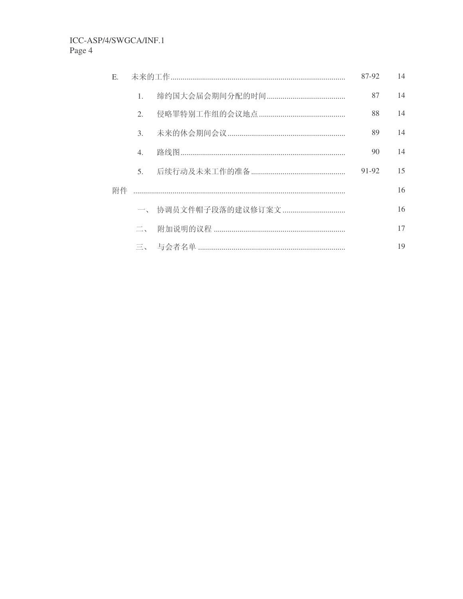| Ε. |                | 87-92               | 14    |    |
|----|----------------|---------------------|-------|----|
|    | $\mathbf{1}$ . |                     | 87    | 14 |
|    | 2.             |                     | 88    | 14 |
|    | 3 <sub>1</sub> |                     | 89    | 14 |
|    | 4.             |                     | 90    | 14 |
|    | 5 <sub>1</sub> |                     | 91-92 | 15 |
| 附件 |                |                     |       | 16 |
|    |                | 一、 协调员文件帽子段落的建议修订案文 |       | 16 |
|    | $\Box$         |                     |       | 17 |
|    |                |                     |       | 19 |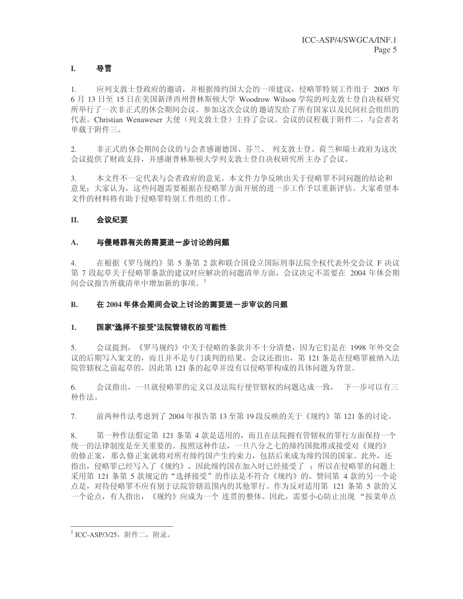### **I.** 导言

1. 应列支敦士登政府的邀请,并根据缔约国大会的一项建议,侵略罪特别工作组于 2005 年 6 月 13 日至 15 日在美国新泽西州普林斯顿大学 Woodrow Wilson 学院的列支敦士登自决权研究 所举行了一次非正式的休会期间会议。参加这次会议的邀请发给了所有国家以及民间社会组织的 代表。Christian Wenaweser 大使(列支敦士登) 主持了会议。会议的议程载于附件二, 与会者名 单载于附件三。

2. 非正式的休会期间会议的与会者感谢德国、芬兰、列支敦士登、荷兰和瑞士政府为这次 会议提供了财政支持,并感谢普林斯顿大学列支敦士登自决权研究所主办了会议。

3. 本文件不一定代表与会者政府的意见。本文件力争反映出关于侵略罪不同问题的结论和 意见:大家认为,这些问题需要根据在侵略罪方面开展的进一步工作予以重新评估。大家希望本 文件的材料将有助于侵略罪特别工作组的工作。

### **II.** -

#### A. 与侵略罪有关的需要进一步讨论的问题 \_\_\_ ---------------

4. 在根据《罗马规约》第 5 条第 2 款和联合国设立国际刑事法院全权代表外交会议 F 决议 第 7 段起草关于侵略罪条款的建议时应解决的问题清单方面, 会议决定不需要在 2004 年休会期 间会议报告所载清单中增加新的事项。

#### B. 在 2004 年休会期间会议上讨论的需要进一步审议

#### 1. 国家"选择不接受"法院管辖权的可能  $\overline{1}$

5. 会议提到, 《罗马规约》中关于侵略的条款并不十分清楚, 因为它们是在 1998 年外交会 议的后期写入案文的,而且并不是专门谈判的结果。会议还指出,第 121 条是在侵略罪被纳入法 院管辖权之前起草的,因此第121条的起草并没有以侵略罪构成的具体问题为背景。

6. 会议指出,一旦就侵略罪的定义以及法院行使管辖权的问题达成一致, 下一步可以有三 种作法。

7. 前两种作法考虑到了 2004 年报告第 13 至第 19 段反映的关于《规约》第 121 条的讨论。

8. 第一种作法假定第 121 条第 4 款是适用的,而且在法院拥有管辖权的罪行方面保持一个 统一的法律制度是至关重要的。按照这种作法,一旦八分之七的缔约国批准或接受对《规约》 的修正案, 那么修正案就将对所有缔约国产生约束力, 包括后来成为缔约国的国家。此外, 还 指出, 侵略罪已经写入了《规约》, 因此缔约国在加入时已经接受了; 所以在侵略罪的问题上 采用第 121 条第 5 款规定的"选择接受"的作法是不符合《规约》的。赞同第 4 款的另一个论 点是, 对待侵略罪不应有别于法院管辖范围内的其他罪行。作为反对适用第 121 条第 5 款的又 一个论点,有人指出,《规约》应成为一个 连贯的整体。因此,需要小心防止出现 "按菜单点

 $^1$ ICC-ASP/3/25, 附件二, 附录。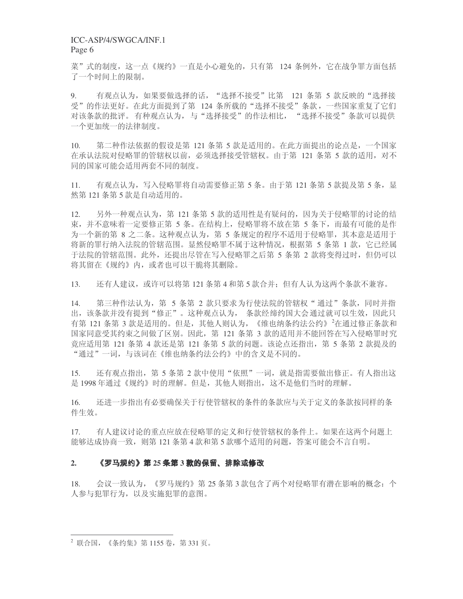菜"式的制度,这一点《规约》一直是小心避免的,只有第 124 条例外,它在战争罪方面包括 了一个时间上的限制。

9. 有观点认为,如果要做选择的话, "选择不接受"比第 121 条第 5 款反映的 "选择接 受"的作法更好。在此方面提到了第 124 条所载的"选择不接受"条款,一些国家重复了它们 对该条款的批评。有种观点认为, 与"选择接受"的作法相比, "选择不接受"条款可以提供 一个更加统一的法律制度。

10. 第二种作法依据的假设是第 121 条第 5 款是适用的。在此方面提出的论点是, 一个国家 在承认法院对侵略罪的管辖权以前, 必须选择接受管辖权。由于第 121 条第 5 款的适用, 对不 同的国家可能会适用两套不同的制度。

11. 有观点认为,写入侵略罪将自动需要修正第 5 条。由于第 121 条第 5 款提及第 5 条, 显 然第121条第5款是自动适用的。

12. 另外一种观点认为, 第 121 条第 5 款的适用性是有疑问的, 因为关于侵略罪的讨论的结 束, 并不意味着一定要修正第 5 条。在结构上, 侵略罪将不放在第 5 条下, 而最有可能的是作 为一个新的第 8 之二条。这种观点认为, 第 5 条规定的程序不适用于侵略罪, 其本意是适用于 将新的罪行纳入法院的管辖范围。显然侵略罪不属于这种情况,根据第5 条第 1 款, 它已经属 于法院的管辖范围。此外,还提出尽管在写入侵略罪之后第 5 条第 2 款将变得过时,但仍可以 将其留在《规约》内, 或者也可以干脆将其删除。

13. 还有人建议, 或许可以将第121条第4和第5款合并: 但有人认为这两个条款不兼容。

14. 第三种作法认为, 第 5 条第 2 款只要求为行使法院的管辖权"通过"条款, 同时并指 出,该条款并没有提到"修正"。这种观点认为,条款经缔约国大会通过就可以生效,因此只 有第 121 条第 3 款是适用的。但是, 其他人则认为, 《维也纳条约法公约》<sup>2</sup>在通过修正条款和 国家同意受其约束之间做了区别。因此, 第 121 条第 3 款的适用并不能回答在写入侵略罪时究 竟应适用第 121 条第 4 款还是第 121 条第 5 款的问题。该论点还指出, 第 5 条第 2 款提及的 "通过"一词,与该词在《维也纳条约法公约》中的含义是不同的。

15. 还有观点指出,第 5 条第 2 款中使用"依照"一词,就是指需要做出修正。有人指出这 是 1998年通过《规约》时的理解。但是, 其他人则指出, 这不是他们当时的理解。

16. 还进一步指出有必要确保关于行使管辖权的条件的条款应与关于定义的条款按同样的条 件生效。

17. 有人建议讨论的重点应放在侵略罪的定义和行使管辖权的条件上。如果在这两个问题上 能够达成协商一致, 则第121 条第 4 款和第 5 款哪个适用的问题, 答案可能会不言自明。

#### 2. 《罗马规约》第 25 条第 3 款的保留、排 =>?@BA
CDexperience and the contract of the contract of the contract of the contract of the contract of the contract of

18. 会议一致认为, 《罗马规约》第25 条第3款包含了两个对侵略罪有潜在影响的概念: 个 人参与犯罪行为, 以及实施犯罪的意图。

 $^{2}$  联合国, 《条约集》第1155 卷, 第331 页。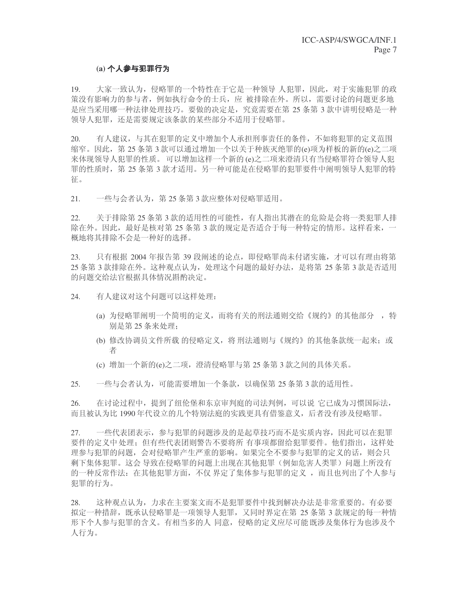#### (a) **个人参与犯** JK

19. 大家一致认为,侵略罪的一个特性在于它是一种领导 人犯罪,因此,对于实施犯罪的政 策没有影响力的参与者, 例如执行命令的士兵, 应 被排除在外。所以, 需要讨论的问题更多地 是应当采用哪一种法律处理技巧。要做的决定是, 究竟需要在第 25 条第 3 款中讲明侵略是一种 领导人犯罪, 还是需要规定该条款的某些部分不适用于侵略罪。

20. 有人建议,与其在犯罪的定义中增加个人承担刑事责任的条件,不如将犯罪的定义范围 缩窄。因此, 第25 条第3款可以通过增加一个以关于种族灭绝罪的(e)项为样板的新的(e)之二项 来体现领导人犯罪的性质。可以增加这样一个新的(e)之二项来澄清只有当侵略罪符合领导人犯 罪的性质时, 第 25 条第 3 款才适用。另一种可能是在侵略罪的犯罪要件中阐明领导人犯罪的特 征。

21. 一些与会者认为, 第25 条第3款应整体对侵略罪适用。

22. 天于排除第 25 条第 3 款的适用性的可能性,有人指出其潜在的危险是会将一类犯罪人排 除在外。因此,最好是核对第 25 条第 3 款的规定是否适合于每一种特定的情形。这样看来,一 概地将其排除不会是一种好的选择。

23. 只有根据 2004 年报告第 39 段阐述的论点, 即侵略罪尚未付诸实施, 才可以有理由将第 25 条第 3 款排除在外。这种观点认为, 处理这个问题的最好办法, 是将第 25 条第 3 款是否适用 的问题交给法官根据具体情况斟酌决定。

24. 有人建议对这个问题可以这样处理:

- (a) 为侵略罪阐明一个简明的定义, 而将有关的刑法通则交给《规约》的其他部分 , 特 别是第25 条来处理;
- (b) 修改协调员文件所载 的侵略定义, 将刑法通则与《规约》的其他条款统一起来; 或 者
- (c) 增加一个新的(e)之二项, 澄清侵略罪与第 25 条第 3 款之间的具体关系。

25. 一些与会者认为,可能需要增加一个条款,以确保第 25 条第 3 款的适用性。

26. 在讨论过程中,提到了纽伦堡和东京审判庭的司法判例,可以说 它已成为习惯国际法, 而且被认为比 1990 年代设立的几个特别法庭的实践更具有借鉴意义,后者没有涉及侵略罪。

27. 一些代表团表示, 参与犯罪的问题涉及的是起草技巧而不是实质内容, 因此可以在犯罪 要件的定义中处理: 但有些代表团则警告不要将所 有事项都留给犯罪要件。他们指出, 这样处 理参与犯罪的问题, 会对侵略罪产生严重的影响。如果完全不要参与犯罪的定义的话, 则会只 剩下集体犯罪。这会 导致在侵略罪的问题上出现在其他犯罪(例如危害人类罪)问题上所没有 的一种反常作法:在其他犯罪方面,不仅 界定了集体参与犯罪的定义 ,而且也列出了个人参与 犯罪的行为。

28. 这种观点认为,力求在主要案文而不是犯罪要件中找到解决办法是非常重要的。有必要 拟定一种措辞,既承认侵略罪是一项领导人犯罪,又同时界定在第 25 条第 3 款规定的每一种情 形下个人参与犯罪的含义。有相当多的人 同意, 侵略的定义应尽可能既涉及集体行为也涉及个 人行为。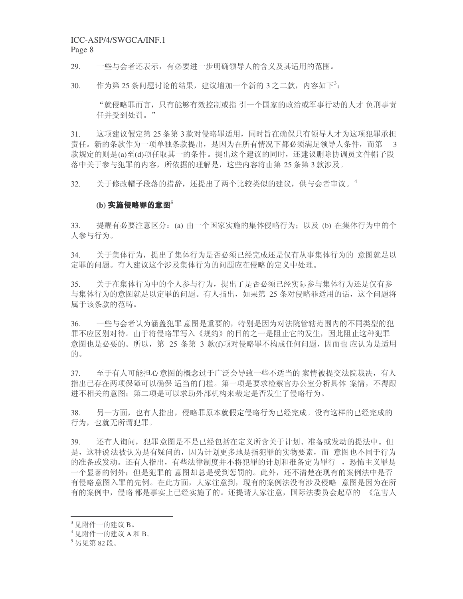# ICC-ASP/4/SWGCA/INF.1

Page 8

29. 一些与会者还表示,有必要进一步明确领导人的含义及其适用的范围。

 $30.$  作为第 25 条问题讨论的结果,建议增加一个新的 3 之二款,内容如下<sup>3</sup>:

"就侵略罪而言,只有能够有效控制或指引一个国家的政治或军事行动的人才负刑事责 任并受到处罚。"

31. 这项建议假定第 25 条第 3 款对侵略罪适用, 同时旨在确保只有领导人才为这项犯罪承担 责任。新的条款作为一项单独条款提出,是因为在所有情况下都必须满足领导人条件,而第 3 款规定的则是(a)至(d)项任取其一的条件。提出这个建议的同时,还建议删除协调员文件帽子段 落中关于参与犯罪的内容,所依据的理解是,这些内容将由第25 条第3款涉及。

32. 关于修改帽子段落的措辞,还提出了两个比较类似的建议,供与会者审议。4

### $(\mathbf{b})$  实施侵略罪的意图 $^5$

33. 提醒有必要注意区分: (a) 由一个国家实施的集体侵略行为; 以及 (b) 在集体行为中的个 人参与行为。

34. 关于集体行为,提出了集体行为是否必须已经完成还是仅有从事集体行为的 意图就足以 定罪的问题。有人建议这个涉及集体行为的问题应在侵略的定义中处理。

35. 关于在集体行为中的个人参与行为, 提出了是否必须已经实际参与集体行为还是仅有参 与集体行为的意图就足以定罪的问题。有人指出,如果第 25 条对侵略罪适用的话,这个问题将 属于该条款的范畴。

36. 一些与会者认为涵盖犯罪意图是重要的,特别是因为对法院管辖范围内的不同类型的犯 罪不应区别对待。由于将侵略罪写入《规约》的目的之一是阻止它的发生,因此阻止这种犯罪 意图也是必要的。所以, 第 25 条第 3 款(f)项对侵略罪不构成任何问题, 因而也 应认为是适用 的。

37. 至于有人可能担心意图的概念过于广泛会导致一些不适当的 案情被提交法院裁决, 有人 指出已存在两项保障可以确保 适当的门槛。第一项是要求检察官办公室分析具体 案情, 不得跟 进不相关的意图;第二项是可以求助外部机构来裁定是否发生了侵略行为。

38. 另一方面,也有人指出,侵略罪原本就假定侵略行为已经完成。没有这样的已经完成的 行为, 也就无所谓犯罪。

39. 还有人询问, 犯罪意图是不是已经包括在定义所含关于计划、准备或发动的提法中。但 是,这种说法被认为是有疑问的,因为计划更多地是指犯罪的实物要素,而 意图也不同于行为 的准备或发动。还有人指出,有些法律制度并不将犯罪的计划和准备定为罪行为恶怖主义罪是 一个显著的例外: 但是犯罪的 意图却总是受到惩罚的。此外,还不清楚在现有的案例法中是否 有侵略意图入罪的先例。在此方面,大家注意到,现有的案例法没有涉及侵略 意图是因为在所 有的案例中,侵略 都是事实上已经实施了的。还提请大家注意,国际法委员会起草的 《危害人

 $3\ \mathrm{R}$ 附件一的建议 B。

<sup>4</sup> 见附件一的建议 A 和 B。

 $^5$ 另见第82段。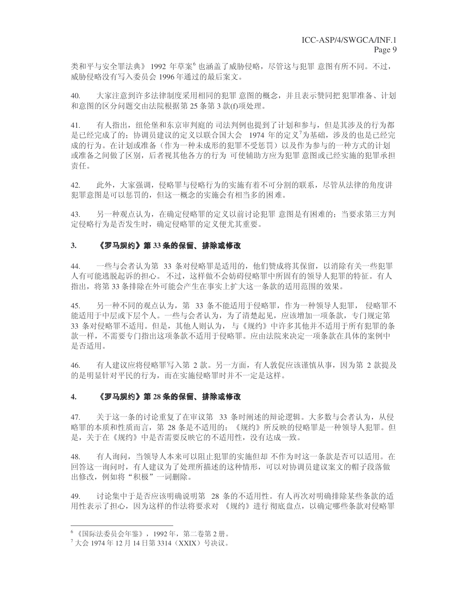类和平与安全罪法典》1992 年草案<sup>6</sup>也涵盖了威胁侵略,尽管这与犯罪意图有所不同。不过, 威胁侵略没有写入委员会 1996 年通过的最后案文。

40. 大家注意到许多法律制度采用相同的犯罪意图的概念,并且表示赞同把犯罪准备、计划 和意图的区分问题交由法院根据第 25 条第 3 款(f)项处理。

41. 有人指出,纽伦堡和东京审判庭的司法判例也提到了计划和参与,但是其涉及的行为都 是已经完成了的: 协调员建议的定义以联合国大会 1974 年的定义<sup>7</sup>为基础, 涉及的也是已经完 成的行为。在计划或准备(作为一种未成形的犯罪不受惩罚)以及作为参与的一种方式的计划 或准备之间做了区别, 后者视其他各方的行为 可使辅助方应为犯罪 意图或已经实施的犯罪承担 责任。

42. 此外,大家强调,侵略罪与侵略行为的实施有着不可分割的联系,尽管从法律的角度讲 犯罪意图是可以惩罚的, 但这一概念的实施会有相当多的困难。

43. 另一种观点认为, 在确定侵略罪的定义以前讨论犯罪 意图是有困难的; 当要求第三方判 定侵略行为是否发生时,确定侵略罪的定义便尤其重要。

#### 3**. 《罗马规约》第** 33 条的保留、<del>!</del> =>?-@A
Cde este construction de la construction de la construction de la construction de la construction de la construction de la construction de la construction de la construction de la construction de la construction de la const

44. 一些与会者认为第 33 条对侵略罪是适用的, 他们赞成将其保留, 以消除有关一些犯罪 人有可能逃脱起诉的担心。不过,这样做不会妨碍侵略罪中所固有的领导人犯罪的特征。有人 指出, 将第33 条排除在外可能会产生在事实上扩大这一条款的适用范围的效果。

45. 另一种不同的观点认为,第 33 条不能适用于侵略罪,作为一种领导人犯罪, 侵略罪不 能适用于中层或下层个人。一些与会者认为,为了清楚起见,应该增加一项条款,专门规定第 33 条对侵略罪不适用。但是,其他人则认为,与《规约》中许多其他并不适用于所有犯罪的条 款一样,不需要专门指出这项条款不适用于侵略罪。应由法院来决定一项条款在具体的案例中 是否适用。

46. 有人建议应将侵略罪写入第 2 款。另一方面,有人敦促应该谨慎从事,因为第 2 款提及 的是明显针对平民的行为,而在实施侵略罪时并不一定是这样。

#### 4**. 《罗马规约》第** 28 条的保留、<del>]</del> -----@A
Cdesign the contract of the contract of the contract of the contract of the contract of the contract of the contract of the contract of the contract of the contract of the contract of the contract of the contract of the con

47. 关于这一条的讨论重复了在审议第 33 条时阐述的辩论逻辑。大多数与会者认为,从侵 略罪的本质和性质而言, 第 28 条是不适用的: 《规约》所反映的侵略罪是一种领导人犯罪。但 是,关于在《规约》中是否需要反映它的不适用性,没有达成一致。

48. 有人询问,当领导人本来可以阻止犯罪的实施但却 不作为时这一条款是否可以适用。在 回答这一询问时, 有人建议为了处理所描述的这种情形, 可以对协调员建议案文的帽子段落做 出修改, 例如将"积极"一词删除。

49. 讨论集中于是否应该明确说明第 28 条的不适用性。有人再次对明确排除某些条款的适 用性表示了担心,因为这样的作法将要求对《规约》进行彻底盘点,以确定哪些条款对侵略罪

<sup>6 《</sup>国际法委员会年鉴》, 1992年, 第二卷第2册。

 $^7$ 大会 1974年12月14日第3314(XXIX)号决议。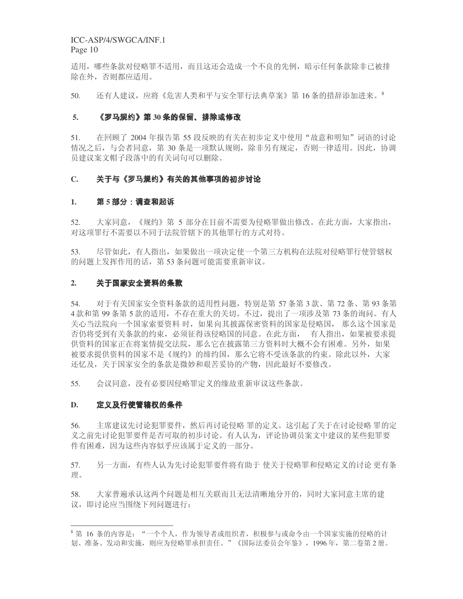适用, 哪些条款对侵略罪不适用, 而且这还会造成一个不良的先例, 暗示任何条款除非已被排 除在外, 否则都应适用。

50. 还有人建议,应将《危害人类和平与安全罪行法典草案》第16 条的措辞添加进来。

### 5**. 《**罗马规约**》第** 30 条的保留、排除或修改

51. 在回顾了 2004 年报告第 55 段反映的有关在初步定义中使用"故意和明知"词语的讨论 情况之后,与会者同意,第 30 条是一项默认规则,除非另有规定,否则一律适用。因此,协调 员建议案文帽子段落中的有关词句可以删除。

#### **C.** -QR3S46-78-9T-UVW-X-

### 1**. 第 5 部分:调查和起**诉

52. 大家同意, 《规约》第 5 部分在目前不需要为侵略罪做出修改。在此方面, 大家指出, 对这项罪行不需要以不同于法院管辖下的其他罪行的方式对待。

53. 尽管如此, 有人指出, 如果做出一项决定使一个第三方机构在法院对侵略罪行使管辖权 的问题上发挥作用的话, 第53条问题可能需要重新审议。

#### 2. 关于国冢安全资料 ;<

54. 对于有关国家安全资料条款的适用性问题,特别是第57条第3款、第72条、第93条第 4 款和第 99 条第 5 款的适用,不存在重大的关切。不过,提出了一项涉及第 73 条的询问。有人 关心当法院向一个国家索要资料时,如果向其披露保密资料的国家是侵略国,那么这个国家是 否仍将受到有关条款的约束, 必须征得该侵略国的同意。在此方面, 有人指出, 如果被要求提 供资料的国家正在将案情提交法院,那么它在披露第三方资料时大概不会有困难。另外,如果 被要求提供资料的国家不是《规约》的缔约国, 那么它将不受该条款的约束。除此以外, 大家 还忆及,关于国家安全的条款是微妙和艰苦妥协的产物,因此最好不要修改。

55. 会议同意, 没有必要因侵略罪定义的缘故重新审议这些条款。

#### $D<sub>r</sub>$ hiJj--./-;k

56. 主席建议先讨论犯罪要件,然后再讨论侵略罪的定义。这引起了关于在讨论侵略罪的定 义之前先讨论犯罪要件是否可取的初步讨论。有人认为,评论协调员案文中建议的某些犯罪要 件有困难,因为这些内容似乎应该属于定义的一部分。

57. 月一方面,有些人认为先讨论犯罪要件将有助于 使关于侵略罪和侵略定义的讨论 更有条 理。

58. 大家普遍承认这两个问题是相互关联而且无法清晰地分开的,同时大家同意主席的建 议,即讨论应当围绕下列问题讲行:

 $^8$ 第 16 条的内容是: "一个个人,作为领导者或组织者,积极参与或命令由一个国家实施的侵略的计 划、准备、发动和实施,则应为侵略罪承担责任。"《国际法委员会年鉴》, 1996年, 第二卷第2册。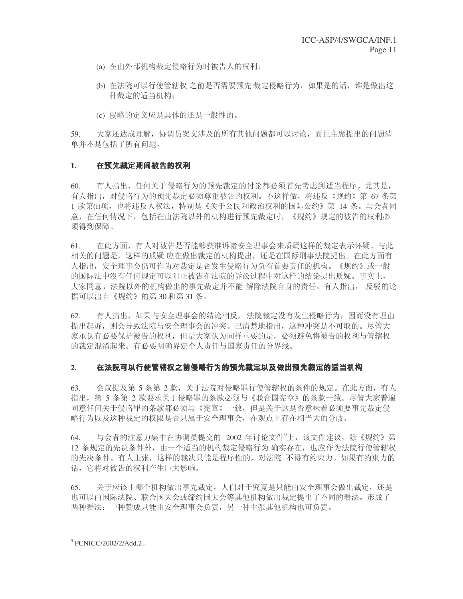- (a) 在由外部机构裁定侵略行为时被告人的权利:
- (b) 在法院可以行使管辖权 之前是否需要预先 裁定侵略行为, 如果是的话, 谁是做出这 种裁定的适当机构:
- (c) 侵略的定义应是具体的还是一般性的。

59. 大家还达成理解, 协调员案文涉及的所有其他问题都可以讨论, 而且主席提出的问题清 单并不是包括了所有问题。

### 1. 在预先裁定期间被 p/q

60. 有人指出,任何关于侵略行为的预先裁定的讨论都必须首先考虑到适当程序。尤其是, 有人指出, 对侵略行为的预先裁定必须尊重被告的权利。不这样做, 将违反《规约》第67条第 1 款第(i)项,也将违反人权法,特别是《关于公民和政治权利的国际公约》第 14 条。与会者同 意, 在任何情况下, 包括在由法院以外的机构进行预先裁定时, 《规约》规定的被告的权利必 须得到保障。

61. 在此方面, 有人对被告是否能够获准诉诸安全理事会来质疑这样的裁定表示怀疑。与此 相关的问题是,这样的质疑 应在做出裁定的机构提出,还是在国际刑事法院提出。在此方面有 人指出, 安全理事会仍可作为对裁定是否发生侵略行为负有首要责任的机构。《规约》或一般 的国际法中没有任何规定可以阻止被告在法院的诉讼过程中对这样的结论提出质疑。事实上, 大家同意, 法院以外的机构做出的事先裁定并不能 解除法院自身的责任。有人指出, 反驳的论 据可以出自《规约》的第30和第31条。

62. 有人指出, 如果与安全理事会的结论相反, 法院裁定没有发生侵略行为, 因而没有理由 提出起诉, 则会导致法院与安全理事会的冲突。已清楚地指出, 这种冲突是不可取的。尽管大 家承认有必要保护被告的权利,但是大家认为同样重要的是,必须避免将被告的权利与管辖权 的裁定混淆起来。有必要明确界定个人责任与国家责任的分界线。

#### 2. 在法院可以行使管辖权之前侵略行为的预先裁定以及做出预先裁定的适当机构  $\sim$ JKlmn-. . . . . . uv
lm- $\blacksquare$

63. 会议提及第 5 条第 2 款, 关于法院对侵略罪行使管辖权的条件的规定。在此方面, 有人 指出,第 5 条第 2 款要求关于侵略罪的条款必须与《联合国宪章》的条款一致。尽管大家普遍 同意任何关于侵略罪的条款都必须与《宪章》一致,但是关于这是否意味着必须要事先裁定侵 略行为以及这种裁定的权限是否只属于安全理事会, 在观点上存在相当大的分歧。

64. 与会者的注意力集中在协调员提交的 2002 年讨论文件<sup>9</sup>上,该文件建议,除《规约》第 12 条规定的先决条件外,由一个适当的机构裁定侵略行为 确实存在, 也应作为法院行使管辖权 的先决条件。有人主张,这样的裁决只能是程序性的,对法院 不得有约束力。如果有约束力的 话, 它将对被告的权利产生巨大影响。

65. 关于应该由哪个机构做出事先裁定,人们对于究竟是只能由安全理事会做出裁定,还是 也可以由国际法院、联合国大会或缔约国大会等其他机构做出裁定提出了不同的看法。形成了 两种看法: 一种赞成只能由安全理事会负责, 另一种主张其他机构也可负责。

<sup>&</sup>lt;sup>9</sup> PCNICC/2002/2/Add.2.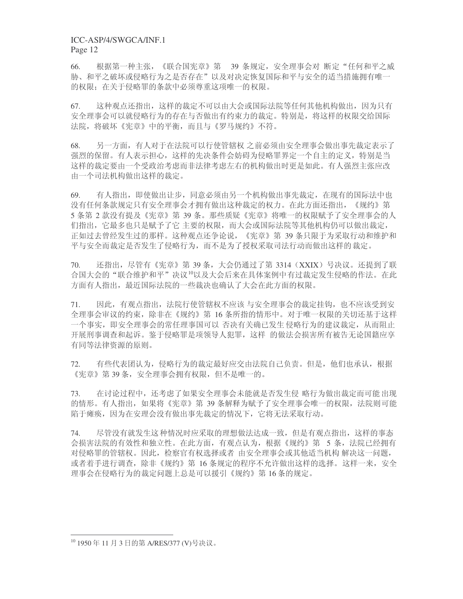66. 根据第一种主张,《联合国宪章》第 39 条规定, 安全理事会对 断定"任何和平之威 胁、和平之破坏或侵略行为之是否存在"以及对决定恢复国际和平与安全的适当措施拥有唯一 的权限; 在关于侵略罪的条款中必须尊重这项唯一的权限。

67. 这种观点还指出,这样的裁定不可以由大会或国际法院等任何其他机构做出,因为只有 安全理事会可以就侵略行为的存在与否做出有约束力的裁定。特别是, 将这样的权限交给国际 法院,将破坏《宪章》中的平衡,而且与《罗马规约》不符。

68. 另一方面, 有人对于在法院可以行使管辖权 之前必须由安全理事会做出事先裁定表示了 强烈的保留。有人表示担心,这样的先决条件会妨碍为侵略罪界定一个自主的定义,特别是当 这样的裁定要由一个受政治考虑而非法律考虑左右的机构做出时更是如此。有人强烈主张应改 由一个司法机构做出这样的裁定。

69. 有人指出,即使做出让步,同意必须由另一个机构做出事先裁定,在现有的国际法中也 没有任何条款规定只有安全理事会才拥有做出这种裁定的权力。在此方面还指出, 《规约》第 5 条第 2 款没有提及《宪章》第 39 条。那些质疑《宪章》将唯一的权限赋予了安全理事会的人 们指出,它最多也只是赋予了它 主要的权限,而大会或国际法院等其他机构仍可以做出裁定, 正如过夫曾经发生过的那样。这种观点还争论说, 《宪章》第 39 条只限于为采取行动和维护和 平与安全而裁定是否发生了侵略行为,而不是为了授权采取司法行动而做出这样的裁定。

70. 还指出, 尽管有《宪章》第 39 条, 大会仍通过了第 3314 (XXIX) 号决议。还提到了联 合国大会的"联合维护和平"决议10以及大会后来在具体案例中有过裁定发生侵略的作法。在此 方面有人指出,最近国际法院的一些裁决也确认了大会在此方面的权限。

71. 因此,有观点指出,法院行使管辖权不应该 与安全理事会的裁定挂钩,也不应该受到安 全理事会审议的约束,除非在《规约》第16 条所指的情形中。对于唯一权限的关切还基于这样 一个事实,即安全理事会的常任理事国可以 否决有关确已发生 侵略行为的建议裁定, 从而阻止 开展刑事调杳和起诉。鉴于侵略罪是项领导人犯罪, 这样 的做法会损害所有被告无论国籍应享 有同等法律资源的原则。

72. 有些代表团认为,侵略行为的裁定最好应交由法院自己负责。但是,他们也承认,根据 《宪章》第39条, 安全理事会拥有权限, 但不是唯一的。

73. 在讨论过程中,还考虑了如果安全理事会未能就是否发生侵 略行为做出裁定而可能出现 的情形。有人指出,如果将《宪章》第 39 条解释为赋予了安全理事会唯一的权限,法院则可能 陷于瘫痪,因为在安理会没有做出事先裁定的情况下,它将无法采取行动。

74. 尽管没有就发生这种情况时应采取的理想做法达成一致,但是有观点指出,这样的事态 会损害法院的有效性和独立性。在此方面,有观点认为,根据《规约》第5条,法院已经拥有 对侵略罪的管辖权。因此,检察官有权选择或者 由安全理事会或其他适当机构 解决这一问题, 或者着手进行调杳,除非《规约》第 16 条规定的程序不允许做出这样的选择。这样一来,安全 理事会在侵略行为的裁定问题上总是可以援引《规约》第16条的规定。

<sup>&</sup>lt;sup>10</sup> 1950年11月3日的第A/RES/377 (V)号决议。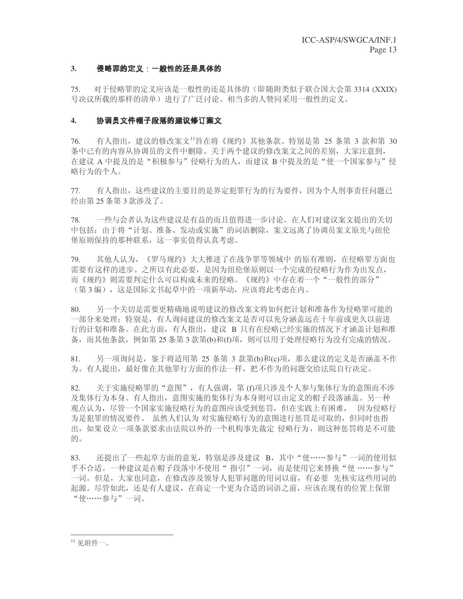#### 3. 侵略罪的定义: 一般性的还是具体的 gh{[|}2~-

75. 对于侵略罪的定义应该是一般性的还是具体的(即随附类似于联合国大会第3314 (XXIX) 号决议所载的那样的清单)进行了广泛讨论。相当多的人赞同采用一般性的定义。

### 4. 协调员文件帽子段落的建议修订案文

 $76.$  有人指出, 建议的修改案文 $^{11}$ 旨在将《规约》其他条款、特别是第 25 条第 3 款和第 30 条中已有的内容从协调员的文件中删除。关于两个建议的修改案文之间的差别,大家注意到, 在建议 A 中提及的是"积极参与"侵略行为的人, 而建议 B 中提及的是"使一个国家参与"侵 略行为的个人。

77. 有人指出,这些建议的主要目的是界定犯罪行为的行为要件,因为个人刑事责任问题已 经由第25条第3款涉及了。

78. 一些与会者认为这些建议是有益的而且值得进一步讨论。在人们对建议案文提出的关切 中包括: 由于将"计划、准备、发动或实施"的词语删除, 案文远离了协调员案文原先与纽伦 堡原则保持的那种联系, 这一事实值得认真考虑。

79. 其他人认为, 《罗马规约》大大推进了在战争罪等领域中 的原有准则, 在侵略罪方面也 需要有这样的进步。之所以有此必要,是因为纽伦堡原则以一个完成的侵略行为作为出发点, 而《规约》则需要判定什么可以构成未来的侵略。《规约》中存在着一个"一般性的部分" (第3编), 这是国际文书起草中的一项新举动, 应该将此考虑在内。

80. 另一个关切是需要更精确地说明建议的修改案文将如何把计划和准备作为侵略罪可能的 一部分来处理: 特别是, 有人询问建议的修改案文是否可以充分涵盖远在十年前或更久以前进 行的计划和准备。在此方面, 有人指出, 建议 B 只有在侵略已经实施的情况下才涵盖计划和准 备,而其他条款,例如第 25 条第 3 款第(b)和(f)项,则可以用于处理侵略行为没有完成的情况。

81. 另一项询问是, 鉴于将适用第 25 条第 3 款第(b)和(c)项, 那么建议的定义是否涵盖不作 为。有人提出,最好像在其他罪行方面的作法一样,把不作为的问题交给法院自行决定。

82. 关于实施侵略罪的"意图", 有人强调, 第 (f)项只涉及个人参与集体行为的意图而不涉 及集体行为本身〉不持人指出,意图实施的集体行为本身则可以由定义的帽子段落涵盖。另一种 观点认为, 尽管一个国家实施侵略行为的意图应该受到惩罚, 但在实践上有困难, 因为侵略行 为是犯罪的情况要件。 虽然人们认为 对实施侵略行为的意图进行惩罚是可取的, 但同时也指 出, 如果设立一项条款要求由法院以外的一个机构事先裁定 侵略行为, 则这种惩罚将是不可能 的。

83. 还提出了一些起草方面的意见,特别是涉及建议 B,其中"使……参与"一词的使用似 乎不合适。一种建议是在帽子段落中不使用"指引"一词,而是使用它来替换"使……参与" 一词。但是,大家也同意,在修改涉及领导人犯罪问题的用词以前,有必要 先核实这些用词的 起源。尽管如此,还是有人建议,在商定一个更为合适的词语之前,应该在现有的位置上保留 "使……参与"一词。

 $11$  见附件一。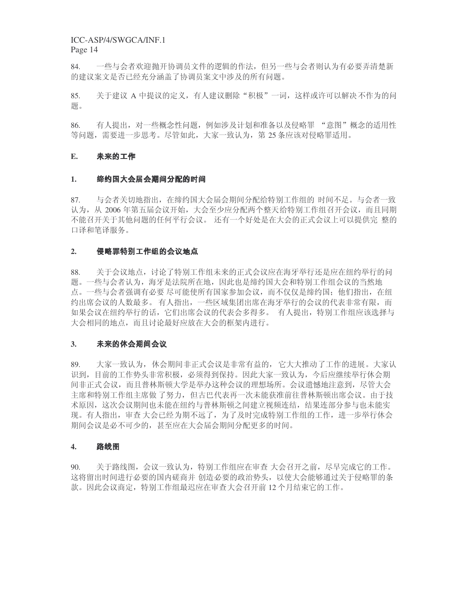84. 一些与会者欢迎抛开协调员文件的逻辑的作法, 但另一些与会者则认为有必要弄清楚新 的建议案文是否已经充分涵盖了协调员案文中涉及的所有问题。

85. 关于建议 A 中提议的定义, 有人建议删除"积极"一词, 这样或许可以解决不作为的问 题。

86. 有人提出,对一些概念性问题,例如涉及计划和准备以及侵略罪 "意图"概念的适用性 等问题,需要进一步思考。尽管如此,大家一致认为,第25条应该对侵略罪适用。

### **E.** 未来的工作

#### 1**. 缔约国大会届会期间分配的时间** -

87. 与会者关切地指出,在缔约国大会届会期间分配给特别工作组的 时间不足。与会者一致 认为,从 2006 年第五届会议开始,大会至少应分配两个整天给特别工作组召开会议,而且同期 不能召开关于其他问题的任何平行会议。还有一个好处是在大会的正式会议上可以提供完 整的 口译和笔译服务。

#### 2. 侵略罪特别工作组的会议地点 -------

88. 羌于会议地点, 讨论了特别工作组未来的正式会议应在海牙举行还是应在纽约举行的问 题。一些与会者认为,海牙是法院所在地,因此也是缔约国大会和特别工作组会议的当然地 点。一些与会者强调有必要 尽可能使所有国家参加会议,而不仅仅是缔约国:他们指出,在纽 约出席会议的人数最多。有人指出,一些区域集团出席在海牙举行的会议的代表非常有限,而 如果会议在纽约举行的话,它们出席会议的代表会多得多。 有人提出,特别工作组应该选择与 大会相同的地点,而且讨论最好应放在大会的框架内进行。

#### 3. 未来的休会期间会

89. 大家一致认为, 休会期间非正式会议是非常有益的, 它大大推动了工作的进展。大家认 识到,目前的工作势头非常积极,必须得到保持。因此大家一致认为,今后应继续举行休会期 间非正式会议,而且普林斯顿大学是举办这种会议的理想场所。会议遗憾地注意到,尽管大会 主席和特别工作组主席做 了努力, 但古巴代表再一次未能获准前往普林斯顿出席会议。由于技 术原因, 这次会议期间也未能在纽约与普林斯顿之间建立视频连结, 结果连部分参与也未能实 现。有人指出,审查 大会已经为期不远了,为了及时完成特别工作组的工作,进一步举行休会 期间会议是必不可少的, 甚至应在大会届会期间分配更多的时间。

#### 4. 路线图 <u>Property and the second contract of the second contract of the second contract of the second contract of the second contract of the second contract of the second contract of the second contract of the second contract of t</u>

90. 关于路线图,会议一致认为,特别工作组应在审查 大会召开之前,尽早完成它的工作。 这将留出时间进行必要的国内磋商并 创造必要的政治势头, 以使大会能够通过关于侵略罪的条 款。因此会议商定,特别工作组最迟应在审查大会召开前 12 个月结束它的工作。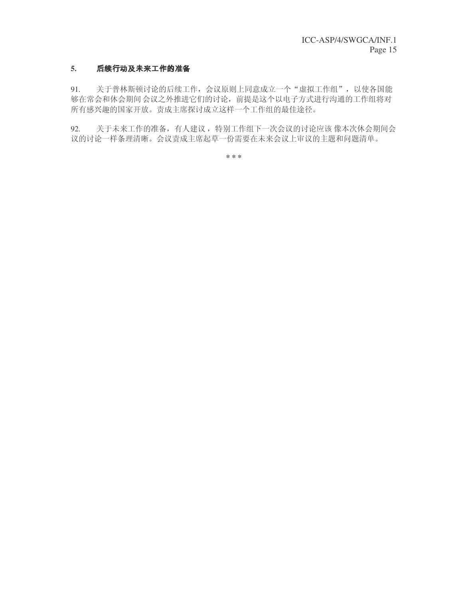### 5. **后续行动及未来工作的准**备

91. 关于普林斯顿讨论的后续工作,会议原则上同意成立一个"虚拟工作组",以使各国能 够在常会和休会期间会议之外推进它们的讨论, 前提是这个以电子方式进行沟通的工作组将对 所有感兴趣的国家开放。责成主席探讨成立这样一个工作组的最佳途径。

92. 关于未来工作的准备,有人建议,特别工作组下一次会议的讨论应该 像本次休会期间会 议的讨论一样条理清晰。会议责成主席起草一份需要在未来会议上审议的主题和问题清单。

**\* \* \***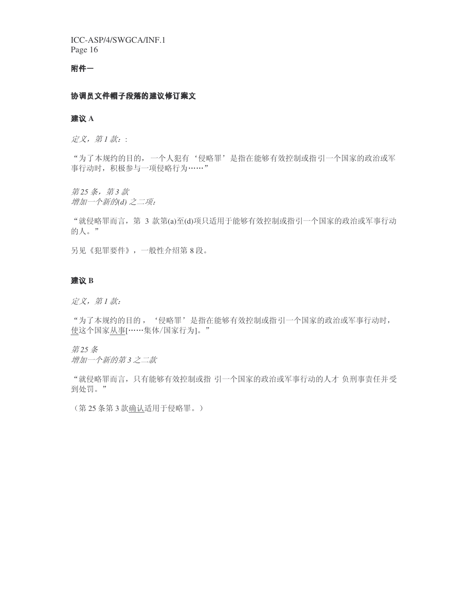### 附件一

### $\mathcal{L}$  , and a set of the set of the set of the set of the set of the set of the set of the set of the set of the set of the set of the set of the set of the set of the set of the set of the set of the set of the set of

### 建议 A

定义, 第1款::

"为了本规约的目的, 一个人犯有'侵略罪'是指在能够有效控制或指引一个国家的政治或军 事行动时, 积极参与一项侵略行为……"

第25条, 第3款 增加一个新的(d) 之二项:

"就侵略罪而言, 第 3 款第(a)至(d)项只适用于能够有效控制或指引一个国家的政治或军事行动 的人。"

另见《犯罪要件》,一般性介绍第8段。

### 建议 B

定义, 第1款:

"为了本规约的目的, '侵略罪'是指在能够有效控制或指引一个国家的政治或军事行动时, 使这个国家从事[……集体/国家行为]。"

第25条

增加一个新的第3 之二款

"就侵略罪而言, 只有能够有效控制或指 引一个国家的政治或军事行动的人才 负刑事责任并受 到处罚。"

(第25条第3款确认适用于侵略罪。)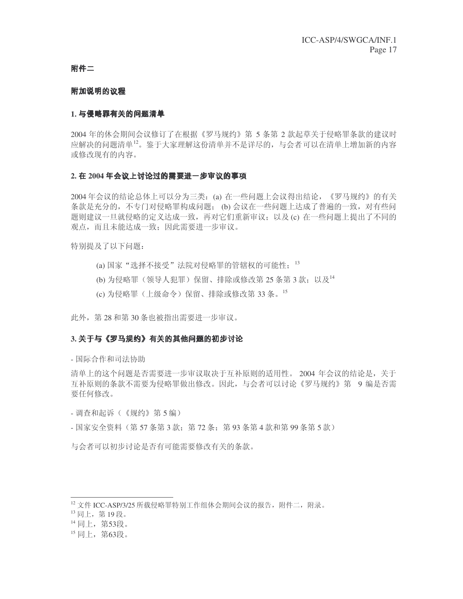### 附件二

#### 附加说明的议程 **I** → The Company of the Company of the Company of the Company of the Company of the Company of the Company of

#### 1. 与侵略罪有关的问题 §¨

2004 年的休会期间会议修订了在根据《罗马规约》第 5 条第 2 款起草关于侵略罪条款的建议时 应解决的问题清单12。鉴于大家理解这份清单并不是详尽的,与会者可以在清单上增加新的内容 或修改现有的内容。

#### 2. 在 2004 年会议上讨论过的需要进一步审议的事项 ------©-- Vwhere the contract of the contract of the contract of the contract of the contract of the contract of the contract of the contract of the contract of the contract of the contract of the contract of the contract of the cont

2004年会议的结论总体上可以分为三类: (a) 在一些问题上会议得出结论, 《罗马规约》的有关 条款是充分的,不专门对侵略罪构成问题;(b) 会议在一些问题上达成了普遍的一致,对有些问 题则建议一旦就侵略的定义达成一致,再对它们重新审议;以及(c) 在一些问题上提出了不同的 观点, 而且未能达成一致: 因此需要讲一步审议。

特别提及了以下问题:

- (a) 国家"选择不接受"法院对侵略罪的管辖权的可能性; 13
- $($ b) 为侵略罪(领导人犯罪) 保留、排除或修改第25条第3款: 以及 $^{14}$
- (c) 为侵略罪(上级命令) 保留、排除或修改第33条。<sup>15</sup>

此外, 第28 和第30 条也被指出需要进一步审议。

#### 3. 关于与《罗马规约》有关的其他问题的初步讨论 and the state of the state of the state of the state of the state of the state of the state of the state of the state of the state of the state of the state of the state of the state of the state of the state of the state ------------ $\sim$   $\sim$   $\sim$   $\sim$   $\sim$

- 国际合作和司法协助

清单上的这个问题是否需要进一步审议取决于互补原则的适用性。 2004 年会议的结论是, 关于 互补原则的条款不需要为侵略罪做出修改。因此,与会者可以讨论《罗马规约》第 9 编是否需 要任何修改。

- 调杳和起诉(《规约》第5编)
- 国家安全资料 (第 57 条第 3 款: 第 72 条: 第 93 条第 4 款和第 99 条第 5 款)

与会者可以初步讨论是否有可能需要修改有关的条款。

 $12 \text{ }\gamma$ 件 ICC-ASP/3/25 所载侵略罪特别工作组休会期间会议的报告, 附件二, 附录。

 $^{13}$  同上, 第19段。

<sup>14</sup> 同上, 第53段。

<sup>15</sup> 同上, 第63段。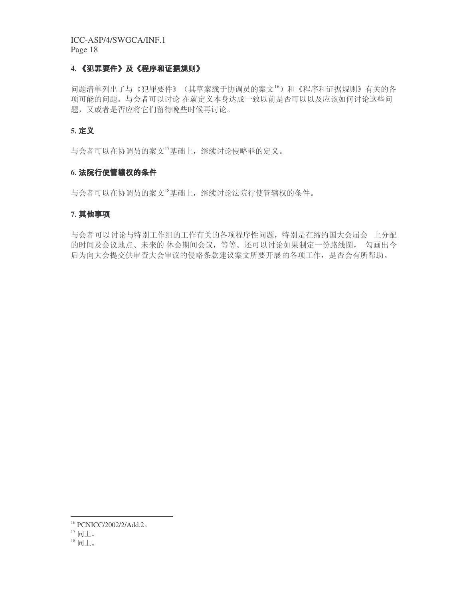### 4. **《犯**罪要件》及《程序和证**据规**则》

问题清单列出了与《犯罪要件》(其草案载于协调员的案文16)和《程序和证据规则》有关的各 项可能的问题。与会者可以讨论 在就定义本身达成一致以前是否可以以及应该如何讨论这些问 题, 又或者是否应将它们留待晚些时候再讨论。

### **5.** gh

与会者可以在协调员的案文17基础上,继续讨论侵略罪的定义。

### 6**. 法院行使管辖权的条件**

与会者可以在协调员的案文 $^{18}$ 基础上,继续讨论法院行使管辖权的条件。

#### 7. 其他事项  $\mathbf{v}$  value of  $\mathbf{v}$

与会者可以讨论与特别工作组的工作有关的各项程序性问题,特别是在缔约国大会届会 上分配 的时间及会议地点、未来的 休会期间会议, 等等。还可以讨论如果制定一份路线图, 勾画出今 后为向大会提交供审查大会审议的侵略条款建议案文所要开展的各项工作,是否会有所帮助。

<sup>&</sup>lt;sup>16</sup> PCNICC/2002/2/Add.2.

 $17$ 同上。

 $18$ 同上。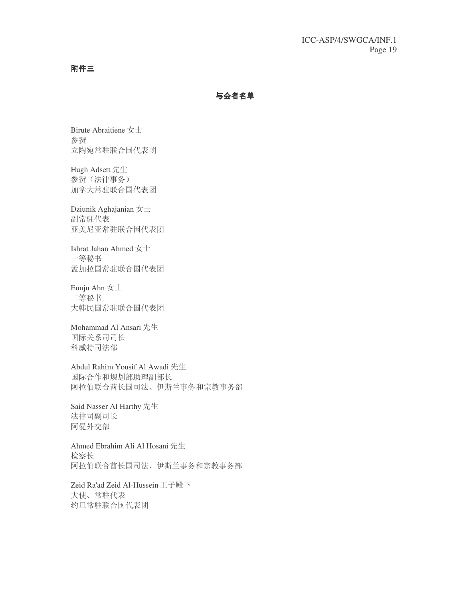附件三

-°±¨

Birute Abraitiene 女士 参赞 立陶宛常驻联合国代表团

Hugh Adsett 先生 参赞(法律事务) 加拿大常驻联合国代表团

Dziunik Aghajanian  $\pm \pm$ 副常驻代表 亚美尼亚常驻联合国代表团

Ishrat Jahan Ahmed 女士 一等秘书 孟加拉国常驻联合国代表团

Eunju Ahn  $\pm \pm$ 二等秘书 大韩民国常驻联合国代表团

Mohammad Al Ansari 先生 国际关系司司长 科威特司法部

Abdul Rahim Yousif Al Awadi 先生 国际合作和规划部助理副部长 阿拉伯联合酋长国司法、伊斯兰事务和宗教事务部

Said Nasser Al Harthy 先生 法律司副司长 阿曼外交部

Ahmed Ebrahim Ali Al Hosani 先生 检察长 阿拉伯联合酋长国司法、伊斯兰事务和宗教事务部

Zeid Ra'ad Zeid Al-Hussein 王子殿下 大使、常驻代表 约旦常驻联合国代表团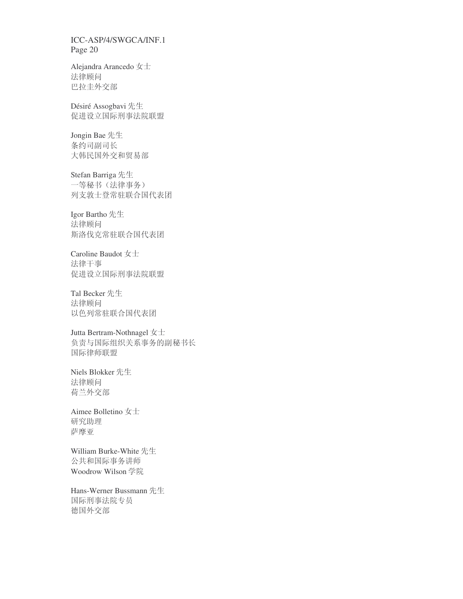Alejandra Arancedo 女士 法律顾问 巴拉圭外交部

Désiré Assogbavi 先生 促进设立国际刑事法院联盟

Jongin Bae 先生 条约司副司长 大韩民国外交和贸易部

Stefan Barriga 先生 一等秘书(法律事务) 列支敦士登常驻联合国代表团

Igor Bartho 先生 法律顾问 斯洛伐克常驻联合国代表团

Caroline Baudot  $\pm \pm$ 法律干事 促进设立国际刑事法院联盟

Tal Becker 先生 法律顾问 以色列常驻联合国代表团

Jutta Bertram-Nothnagel  $\pm \pm$ 负责与国际组织关系事务的副秘书长 国际律师联盟

Niels Blokker 先生 法律顾问 荷兰外交部

Aimee Bolletino 女士 研究助理 萨摩亚

William Burke-White 先生 公共和国际事务讲师 Woodrow Wilson 学院

Hans-Werner Bussmann 先生 国际刑事法院专员 德国外交部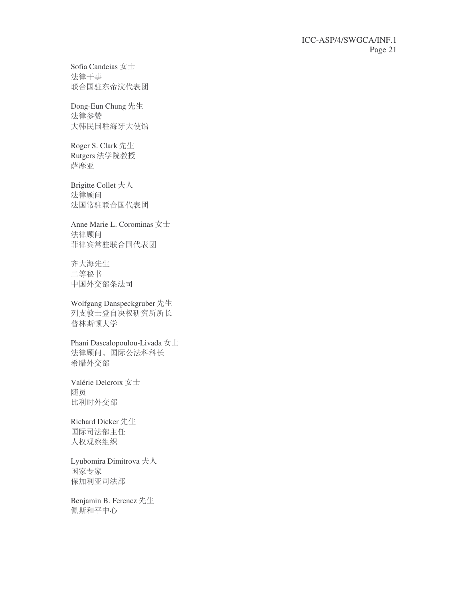Sofia Candeias  $\pm \pm$ 法律干事 联合国驻东帝汶代表团

Dong-Eun Chung 先生 法律参赞 大韩民国驻海牙大使馆

Roger S. Clark 先生 Rutgers 法学院教授 萨摩亚

Brigitte Collet 夫人 法律顾问 法国常驻联合国代表团

Anne Marie L. Corominas  $\pm \pm$ 法律顾问 菲律宾常驻联合国代表团

齐大海先生 二等秘书 中国外交部条法司

Wolfgang Danspeckgruber 先生 列支敦士登自决权研究所所长 普林斯顿大学

Phani Dascalopoulou-Livada 女士 法律顾问、国际公法科科长 希腊外交部

Valérie Delcroix 女士 随员 比利时外交部

Richard Dicker 先生 国际司法部主任 人权观察组织

Lyubomira Dimitrova 夫人 国家专家 保加利亚司法部

Benjamin B. Ferencz 先生 佩斯和平中心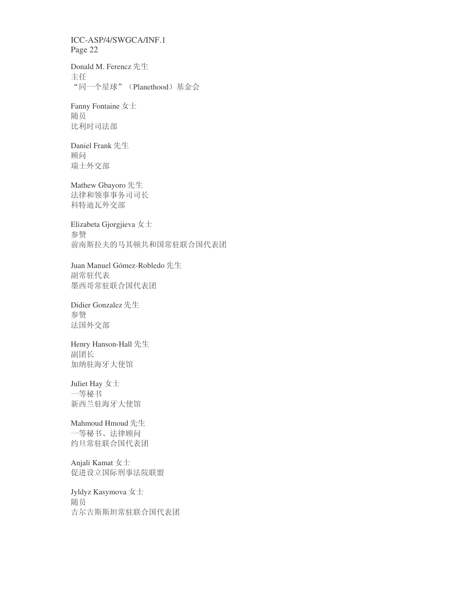Donald M. Ferencz 先生 主任 "同一个星球" (Planethood) 基金会

Fanny Fontaine 女士 随员 比利时司法部

Daniel Frank 先生 顾问 瑞士外交部

Mathew Gbayoro 先生 法律和领事事务司司长 科特迪瓦外交部

Elizabeta Gjorgjieva 女士 参赞 前南斯拉夫的马其顿共和国常驻联合国代表团

Juan Manuel Gómez-Robledo 先生 副常驻代表 墨西哥常驻联合国代表团

Didier Gonzalez 先生 参赞 法国外交部

Henry Hanson-Hall 先生 副团长 加纳驻海牙大使馆

# Juliet Hay  $\pm\pm$

一等秘书 新西兰驻海牙大使馆

### Mahmoud Hmoud 先生

一等秘书、法律顾问 约旦常驻联合国代表团

Anjali Kamat 女士 促进设立国际刑事法院联盟

### Jyldyz Kasymova  $\pm \pm$

随员 吉尔吉斯斯坦常驻联合国代表团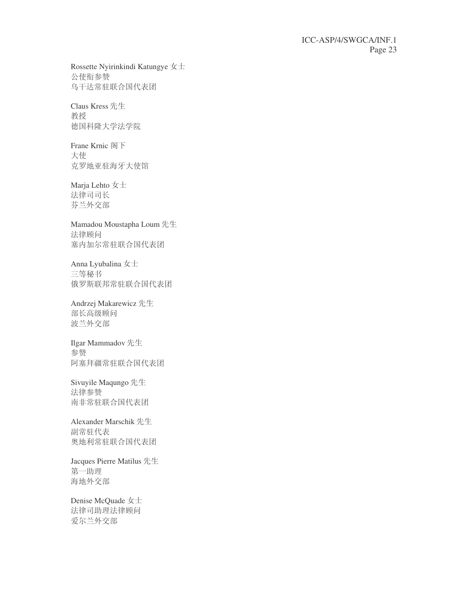Rossette Nyirinkindi Katungye  $\pm \pm$ 公使衔参赞 乌干达常驻联合国代表团

Claus Kress 先生 教授 德国科隆大学法学院

Frane Krnic 阁下 大使 克罗地亚驻海牙大使馆

Marja Lehto 女士 法律司司长 芬兰外交部

Mamadou Moustapha Loum 先生 法律顾问 塞内加尔常驻联合国代表团

Anna Lyubalina 女士 三等秘书 俄罗斯联邦常驻联合国代表团

Andrzej Makarewicz 先生 部长高级顾问 波兰外交部

Ilgar Mammadov 先生 参赞 阿塞拜疆常驻联合国代表团

Sivuyile Maqungo 先生 法律参赞 南非常驻联合国代表团

Alexander Marschik 先生 副常驻代表 奥地利常驻联合国代表团

Jacques Pierre Matilus 先生 第一助理 海地外交部

Denise McQuade 女士 法律司助理法律顾问 爱尔兰外交部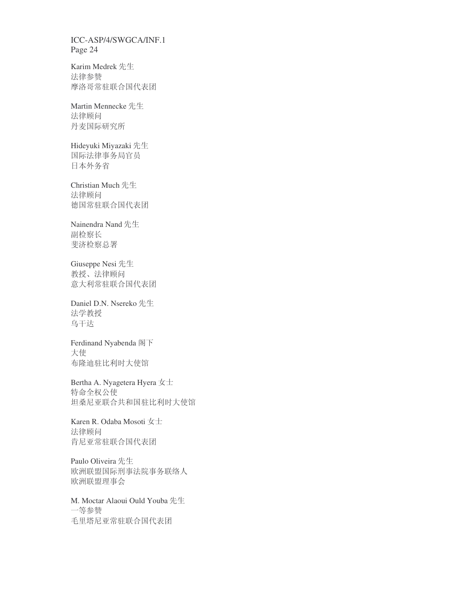Karim Medrek 先生 法律参赞 摩洛哥常驻联合国代表团

Martin Mennecke 先生 法律顾问 丹麦国际研究所

Hideyuki Miyazaki 先生 国际法律事务局官员 日本外务省

Christian Much 先生 法律顾问 德国常驻联合国代表团

Nainendra Nand 先生 副检察长 斐济检察总署

Giuseppe Nesi 先生 教授、法律顾问 意大利常驻联合国代表团

Daniel D.N. Nsereko 先生 法学教授 鸟干达

Ferdinand Nyabenda 阁下 大使 布隆迪驻比利时大使馆

Bertha A. Nyagetera Hyera $\bigstar\pm$ 特命全权公使 坦桑尼亚联合共和国驻比利时大使馆

Karen R. Odaba Mosoti 女士 法律顾问 肯尼亚常驻联合国代表团

Paulo Oliveira 先生 欧洲联盟国际刑事法院事务联络人 欧洲联盟理事会

M. Moctar Alaoui Ould Youba 先生 一等参赞 毛里塔尼亚常驻联合国代表团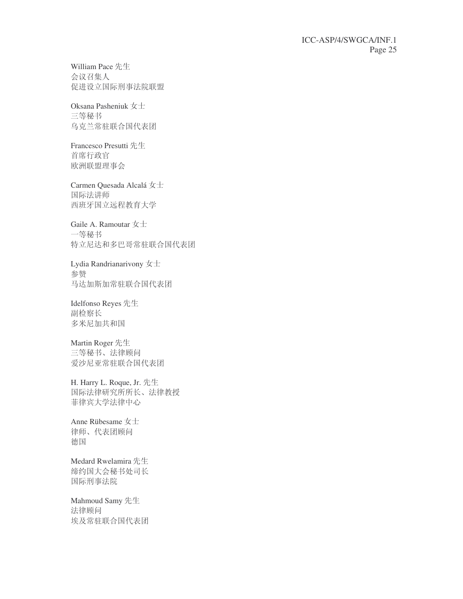William Pace 先生 会议召集人 促进设立国际刑事法院联盟

Oksana Pasheniuk 女士 三等秘书 乌克兰常驻联合国代表团

Francesco Presutti 先生 首席行政官 欧洲联盟理事会

Carmen Quesada Alcalá 女士 国际法讲师 西班牙国立远程教育大学

Gaile A. Ramoutar  $\pm \pm$ 一等秘书 特立尼达和多巴哥常驻联合国代表团

Lydia Randrianarivony  $\pm \pm$ 参赞 马达加斯加常驻联合国代表团

Idelfonso Reyes 先生 副检察长 多米尼加共和国

Martin Roger 先生 三等秘书、法律顾问 爱沙尼亚常驻联合国代表团

H. Harry L. Roque, Jr. 先生 国际法律研究所所长、法律教授 菲律宾大学法律中心

Anne Rübesame  $\pm \pm$ 律师、代表团顾问 德国

Medard Rwelamira 先生 缔约国大会秘书处司长 国际刑事法院

Mahmoud Samy 先生 法律顾问 埃及常驻联合国代表团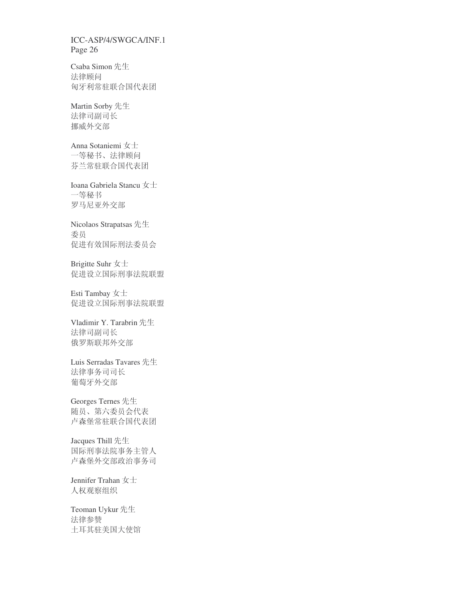Csaba Simon 先生 法律顾问 匈牙利常驻联合国代表团

Martin Sorby 先生 法律司副司长 挪威外交部

Anna Sotaniemi 女士 一等秘书、法律顾问 芬兰常驻联合国代表团

Ioana Gabriela Stancu 女士 一等秘书 罗马尼亚外交部

Nicolaos Strapatsas 先生 委员 促进有效国际刑法委员会

Brigitte Suhr 女士 促进设立国际刑事法院联盟

Esti Tambay $\mbox{\large $\not \!\! \pm \negthinspace \pm $}$ 促进设立国际刑事法院联盟

Vladimir Y. Tarabrin 先生 法律司副司长 俄罗斯联邦外交部

Luis Serradas Tavares 先生 法律事务司司长 葡萄牙外交部

Georges Ternes 先生 随员、第六委员会代表 卢森堡常驻联合国代表团

Jacques Thill 先生 国际刑事法院事务主管人 卢森堡外交部政治事务司

Jennifer Trahan  $\pm \pm$ 人权观察组织

Teoman Uykur 先生 法律参赞 土耳其驻美国大使馆